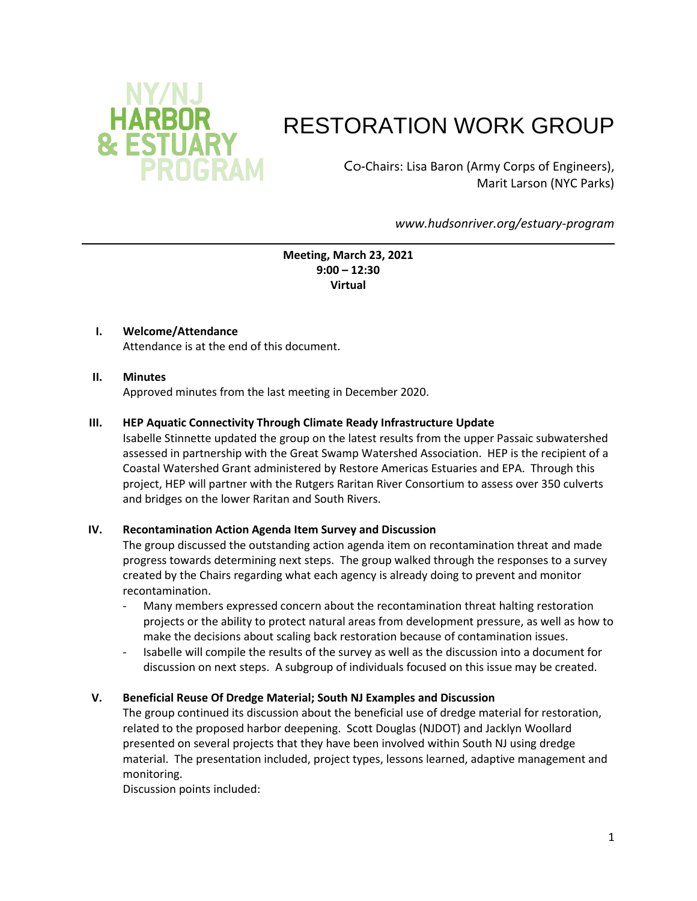

# RESTORATION WORK GROUP

Co-Chairs: Lisa Baron (Army Corps of Engineers), Marit Larson (NYC Parks)

*www.hudsonriver.org/estuary-program*

**Meeting, March 23, 2021 9:00 – 12:30 Virtual**

## **I. Welcome/Attendance**

Attendance is at the end of this document.

#### **II. Minutes**

Approved minutes from the last meeting in December 2020.

#### **III. HEP Aquatic Connectivity Through Climate Ready Infrastructure Update**

Isabelle Stinnette updated the group on the latest results from the upper Passaic subwatershed assessed in partnership with the Great Swamp Watershed Association. HEP is the recipient of a Coastal Watershed Grant administered by Restore Americas Estuaries and EPA. Through this project, HEP will partner with the Rutgers Raritan River Consortium to assess over 350 culverts and bridges on the lower Raritan and South Rivers.

#### **IV. Recontamination Action Agenda Item Survey and Discussion**

The group discussed the outstanding action agenda item on recontamination threat and made progress towards determining next steps. The group walked through the responses to a survey created by the Chairs regarding what each agency is already doing to prevent and monitor recontamination.

- Many members expressed concern about the recontamination threat halting restoration projects or the ability to protect natural areas from development pressure, as well as how to make the decisions about scaling back restoration because of contamination issues.
- Isabelle will compile the results of the survey as well as the discussion into a document for discussion on next steps. A subgroup of individuals focused on this issue may be created.

#### **V. Beneficial Reuse Of Dredge Material; South NJ Examples and Discussion**

The group continued its discussion about the beneficial use of dredge material for restoration, related to the proposed harbor deepening. Scott Douglas (NJDOT) and Jacklyn Woollard presented on several projects that they have been involved within South NJ using dredge material. The presentation included, project types, lessons learned, adaptive management and monitoring.

Discussion points included: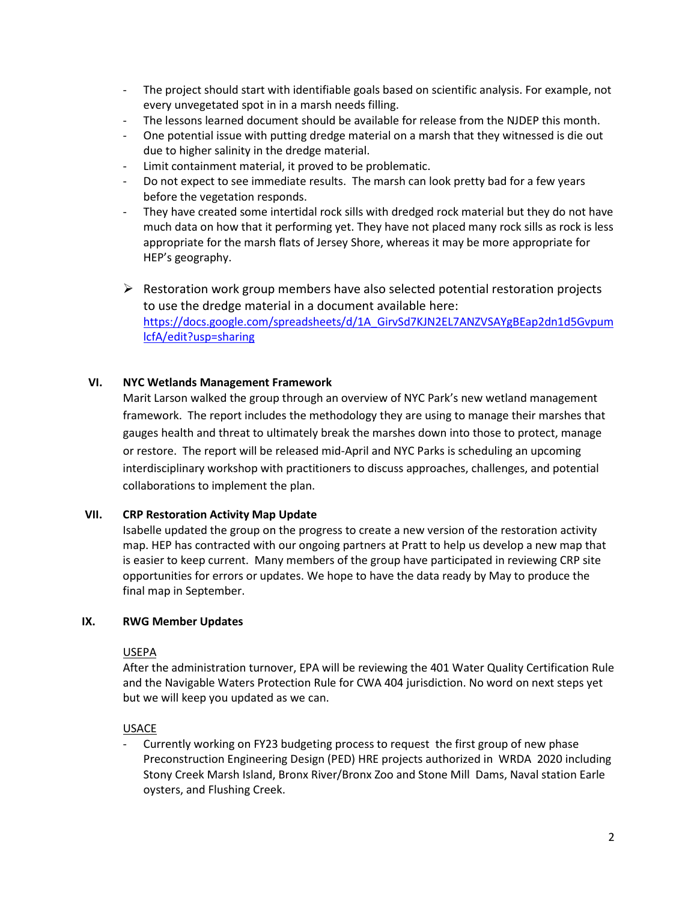- The project should start with identifiable goals based on scientific analysis. For example, not every unvegetated spot in in a marsh needs filling.
- The lessons learned document should be available for release from the NJDEP this month.
- One potential issue with putting dredge material on a marsh that they witnessed is die out due to higher salinity in the dredge material.
- Limit containment material, it proved to be problematic.
- Do not expect to see immediate results. The marsh can look pretty bad for a few years before the vegetation responds.
- They have created some intertidal rock sills with dredged rock material but they do not have much data on how that it performing yet. They have not placed many rock sills as rock is less appropriate for the marsh flats of Jersey Shore, whereas it may be more appropriate for HEP's geography.
- $\triangleright$  Restoration work group members have also selected potential restoration projects to use the dredge material in a document available here: [https://docs.google.com/spreadsheets/d/1A\\_GirvSd7KJN2EL7ANZVSAYgBEap2dn1d5Gvpum](https://gcc02.safelinks.protection.outlook.com/?url=https%3A%2F%2Fdocs.google.com%2Fspreadsheets%2Fd%2F1A_GirvSd7KJN2EL7ANZVSAYgBEap2dn1d5GvpumlcfA%2Fedit%3Fusp%3Dsharing&data=04%7C01%7CMarit.Larson%40parks.nyc.gov%7C724375e34602438ab29308d8bd58d7f5%7C32f56fc75f814e22a95b15da66513bef%7C0%7C0%7C637467536996108847%7CUnknown%7CTWFpbGZsb3d8eyJWIjoiMC4wLjAwMDAiLCJQIjoiV2luMzIiLCJBTiI6Ik1haWwiLCJXVCI6Mn0%3D%7C2000&sdata=LF%2FS%2BglF1N2PbAkv%2Bv8qU6kpjiLXySWzWTGFu0XWsyo%3D&reserved=0) [lcfA/edit?usp=sharing](https://gcc02.safelinks.protection.outlook.com/?url=https%3A%2F%2Fdocs.google.com%2Fspreadsheets%2Fd%2F1A_GirvSd7KJN2EL7ANZVSAYgBEap2dn1d5GvpumlcfA%2Fedit%3Fusp%3Dsharing&data=04%7C01%7CMarit.Larson%40parks.nyc.gov%7C724375e34602438ab29308d8bd58d7f5%7C32f56fc75f814e22a95b15da66513bef%7C0%7C0%7C637467536996108847%7CUnknown%7CTWFpbGZsb3d8eyJWIjoiMC4wLjAwMDAiLCJQIjoiV2luMzIiLCJBTiI6Ik1haWwiLCJXVCI6Mn0%3D%7C2000&sdata=LF%2FS%2BglF1N2PbAkv%2Bv8qU6kpjiLXySWzWTGFu0XWsyo%3D&reserved=0)

## **VI. NYC Wetlands Management Framework**

Marit Larson walked the group through an overview of NYC Park's new wetland management framework. The report includes the methodology they are using to manage their marshes that gauges health and threat to ultimately break the marshes down into those to protect, manage or restore. The report will be released mid-April and NYC Parks is scheduling an upcoming interdisciplinary workshop with practitioners to discuss approaches, challenges, and potential collaborations to implement the plan.

#### **VII. CRP Restoration Activity Map Update**

Isabelle updated the group on the progress to create a new version of the restoration activity map. HEP has contracted with our ongoing partners at Pratt to help us develop a new map that is easier to keep current. Many members of the group have participated in reviewing CRP site opportunities for errors or updates. We hope to have the data ready by May to produce the final map in September.

#### **IX. RWG Member Updates**

#### USEPA

After the administration turnover, EPA will be reviewing the 401 Water Quality Certification Rule and the Navigable Waters Protection Rule for CWA 404 jurisdiction. No word on next steps yet but we will keep you updated as we can.

#### USACE

- Currently working on FY23 budgeting process to request the first group of new phase Preconstruction Engineering Design (PED) HRE projects authorized in WRDA 2020 including Stony Creek Marsh Island, Bronx River/Bronx Zoo and Stone Mill Dams, Naval station Earle oysters, and Flushing Creek.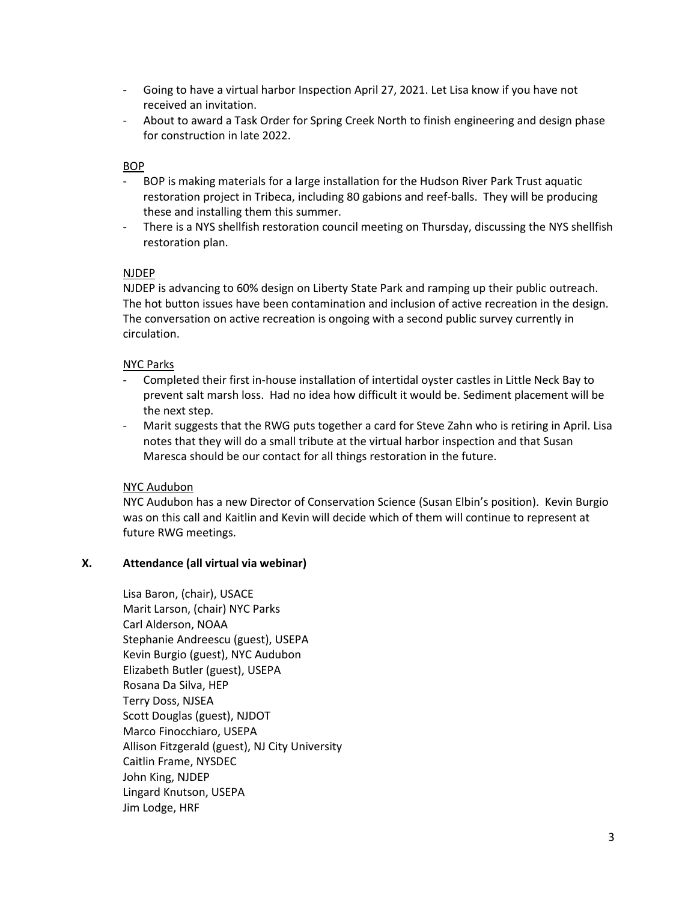- Going to have a virtual harbor Inspection April 27, 2021. Let Lisa know if you have not received an invitation.
- About to award a Task Order for Spring Creek North to finish engineering and design phase for construction in late 2022.

## BOP

- BOP is making materials for a large installation for the Hudson River Park Trust aquatic restoration project in Tribeca, including 80 gabions and reef-balls. They will be producing these and installing them this summer.
- There is a NYS shellfish restoration council meeting on Thursday, discussing the NYS shellfish restoration plan.

#### NJDEP

NJDEP is advancing to 60% design on Liberty State Park and ramping up their public outreach. The hot button issues have been contamination and inclusion of active recreation in the design. The conversation on active recreation is ongoing with a second public survey currently in circulation.

#### NYC Parks

- Completed their first in-house installation of intertidal oyster castles in Little Neck Bay to prevent salt marsh loss. Had no idea how difficult it would be. Sediment placement will be the next step.
- Marit suggests that the RWG puts together a card for Steve Zahn who is retiring in April. Lisa notes that they will do a small tribute at the virtual harbor inspection and that Susan Maresca should be our contact for all things restoration in the future.

#### NYC Audubon

NYC Audubon has a new Director of Conservation Science (Susan Elbin's position). Kevin Burgio was on this call and Kaitlin and Kevin will decide which of them will continue to represent at future RWG meetings.

### **X. Attendance (all virtual via webinar)**

Lisa Baron, (chair), USACE Marit Larson, (chair) NYC Parks Carl Alderson, NOAA Stephanie Andreescu (guest), USEPA Kevin Burgio (guest), NYC Audubon Elizabeth Butler (guest), USEPA Rosana Da Silva, HEP Terry Doss, NJSEA Scott Douglas (guest), NJDOT Marco Finocchiaro, USEPA Allison Fitzgerald (guest), NJ City University Caitlin Frame, NYSDEC John King, NJDEP Lingard Knutson, USEPA Jim Lodge, HRF